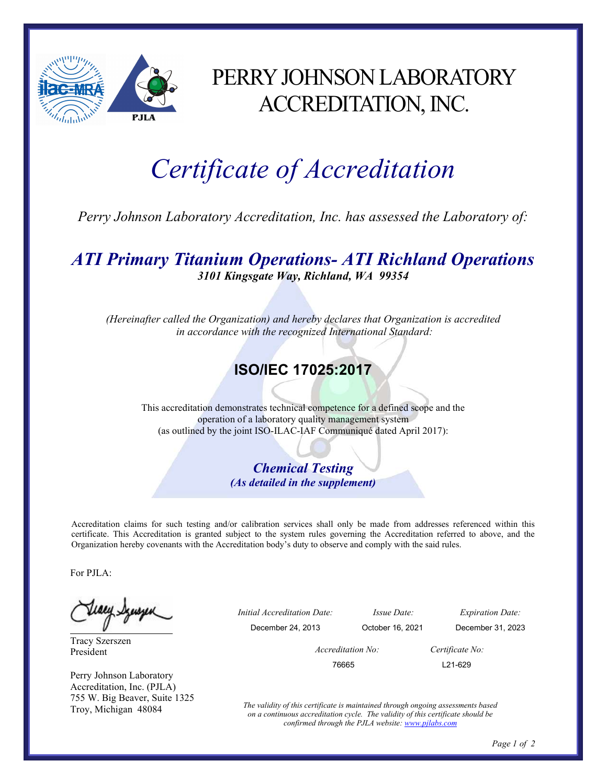

## PERRY JOHNSON LABORATORY ACCREDITATION, INC.

# Certificate of Accreditation

Perry Johnson Laboratory Accreditation, Inc. has assessed the Laboratory of:

#### ATI Primary Titanium Operations- ATI Richland Operations 3101 Kingsgate Way, Richland, WA 99354

(Hereinafter called the Organization) and hereby declares that Organization is accredited in accordance with the recognized International Standard:

### ISO/IEC 17025:2017

This accreditation demonstrates technical competence for a defined scope and the operation of a laboratory quality management system (as outlined by the joint ISO-ILAC-IAF Communiqué dated April 2017):

> Chemical Testing (As detailed in the supplement)

Accreditation claims for such testing and/or calibration services shall only be made from addresses referenced within this certificate. This Accreditation is granted subject to the system rules governing the Accreditation referred to above, and the Organization hereby covenants with the Accreditation body's duty to observe and comply with the said rules.

For PJLA:

teacy Synsyer

Tracy Szerszen President

Perry Johnson Laboratory Accreditation, Inc. (PJLA) 755 W. Big Beaver, Suite 1325 Troy, Michigan 48084

 Initial Accreditation Date: Issue Date: Expiration Date: December 24, 2013 October 16, 2021 December 31, 2023 Accreditation No: Certificate No: 76665 L21-629

> The validity of this certificate is maintained through ongoing assessments based on a continuous accreditation cycle. The validity of this certificate should be confirmed through the PJLA website: www.pjlabs.com